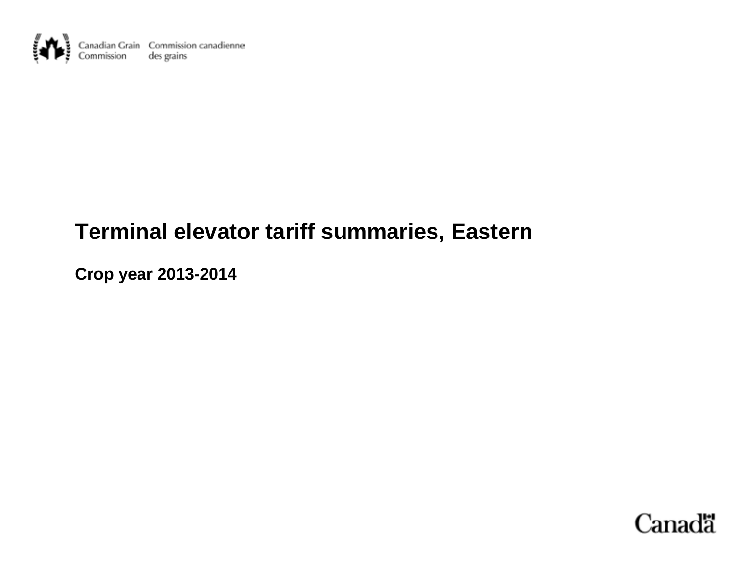

# **Terminal elevator tariff summaries, Eastern**

**Crop year 2013-2014** 

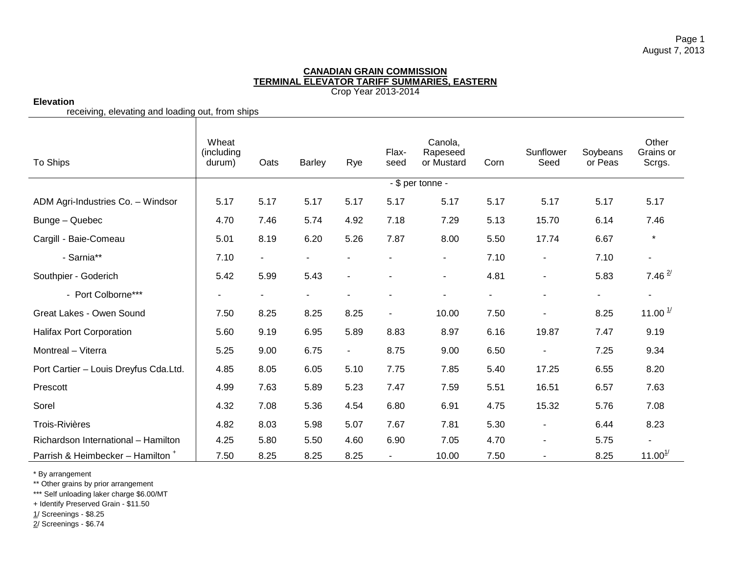# **Elevation**

receiving, elevating and loading out, from ships

| To Ships                                     | Wheat<br>(including<br>durum) | Oats           | <b>Barley</b>  | Rye            | Flax-<br>seed  | Canola,<br>Rapeseed<br>or Mustard | Corn           | Sunflower<br>Seed        | Soybeans<br>or Peas      | Other<br>Grains or<br>Scrgs. |
|----------------------------------------------|-------------------------------|----------------|----------------|----------------|----------------|-----------------------------------|----------------|--------------------------|--------------------------|------------------------------|
|                                              |                               |                |                |                |                | - \$ per tonne -                  |                |                          |                          |                              |
| ADM Agri-Industries Co. - Windsor            | 5.17                          | 5.17           | 5.17           | 5.17           | 5.17           | 5.17                              | 5.17           | 5.17                     | 5.17                     | 5.17                         |
| Bunge - Quebec                               | 4.70                          | 7.46           | 5.74           | 4.92           | 7.18           | 7.29                              | 5.13           | 15.70                    | 6.14                     | 7.46                         |
| Cargill - Baie-Comeau                        | 5.01                          | 8.19           | 6.20           | 5.26           | 7.87           | 8.00                              | 5.50           | 17.74                    | 6.67                     | $\star$                      |
| - Sarnia**                                   | 7.10                          | $\blacksquare$ | $\blacksquare$ | $\blacksquare$ | $\blacksquare$ | $\blacksquare$                    | 7.10           | $\overline{\phantom{a}}$ | 7.10                     | $\blacksquare$               |
| Southpier - Goderich                         | 5.42                          | 5.99           | 5.43           | $\blacksquare$ |                | $\blacksquare$                    | 4.81           | $\blacksquare$           | 5.83                     | 7.46 $^{2/}$                 |
| - Port Colborne***                           |                               | $\blacksquare$ |                | $\blacksquare$ |                |                                   | $\blacksquare$ | ۰                        | $\overline{\phantom{0}}$ | $\blacksquare$               |
| Great Lakes - Owen Sound                     | 7.50                          | 8.25           | 8.25           | 8.25           | $\blacksquare$ | 10.00                             | 7.50           |                          | 8.25                     | 11.00 $\frac{1}{2}$          |
| Halifax Port Corporation                     | 5.60                          | 9.19           | 6.95           | 5.89           | 8.83           | 8.97                              | 6.16           | 19.87                    | 7.47                     | 9.19                         |
| Montreal - Viterra                           | 5.25                          | 9.00           | 6.75           | $\blacksquare$ | 8.75           | 9.00                              | 6.50           | $\blacksquare$           | 7.25                     | 9.34                         |
| Port Cartier - Louis Dreyfus Cda.Ltd.        | 4.85                          | 8.05           | 6.05           | 5.10           | 7.75           | 7.85                              | 5.40           | 17.25                    | 6.55                     | 8.20                         |
| Prescott                                     | 4.99                          | 7.63           | 5.89           | 5.23           | 7.47           | 7.59                              | 5.51           | 16.51                    | 6.57                     | 7.63                         |
| Sorel                                        | 4.32                          | 7.08           | 5.36           | 4.54           | 6.80           | 6.91                              | 4.75           | 15.32                    | 5.76                     | 7.08                         |
| <b>Trois-Rivières</b>                        | 4.82                          | 8.03           | 5.98           | 5.07           | 7.67           | 7.81                              | 5.30           | $\blacksquare$           | 6.44                     | 8.23                         |
| Richardson International - Hamilton          | 4.25                          | 5.80           | 5.50           | 4.60           | 6.90           | 7.05                              | 4.70           | $\overline{\phantom{a}}$ | 5.75                     | $\overline{\phantom{a}}$     |
| Parrish & Heimbecker - Hamilton <sup>+</sup> | 7.50                          | 8.25           | 8.25           | 8.25           | $\blacksquare$ | 10.00                             | 7.50           |                          | 8.25                     | 11.00 <sup>1</sup>           |

\* By arrangement

\*\* Other grains by prior arrangement

\*\*\* Self unloading laker charge \$6.00/MT

+ Identify Preserved Grain - \$11.50

1/ Screenings - \$8.25

 $\frac{2}{3}$  Screenings - \$6.74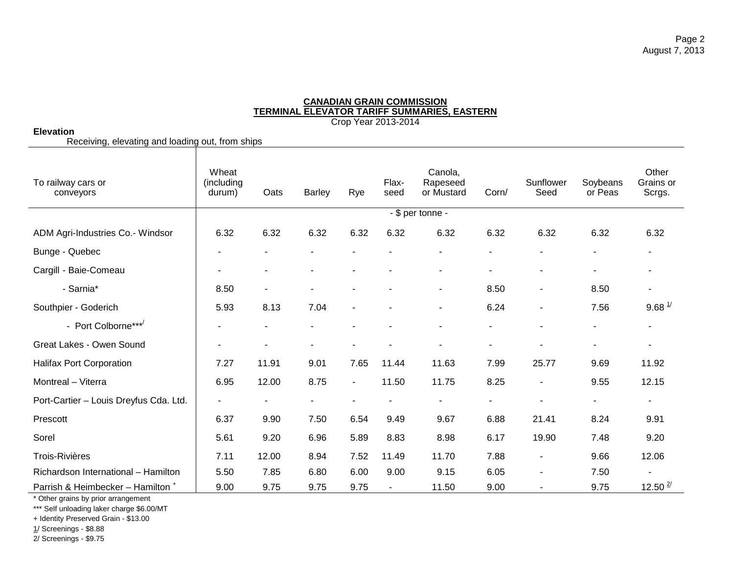# **Elevation**

Receiving, elevating and loading out, from ships

| To railway cars or<br>conveyors              | Wheat<br>(including<br>durum) | Oats           | <b>Barley</b>  | Rye            | Flax-<br>seed  | Canola,<br>Rapeseed<br>or Mustard | Corn/          | Sunflower<br>Seed        | Soybeans<br>or Peas | Other<br>Grains or<br>Scrgs. |
|----------------------------------------------|-------------------------------|----------------|----------------|----------------|----------------|-----------------------------------|----------------|--------------------------|---------------------|------------------------------|
|                                              |                               |                |                |                |                | - \$ per tonne -                  |                |                          |                     |                              |
| ADM Agri-Industries Co.- Windsor             | 6.32                          | 6.32           | 6.32           | 6.32           | 6.32           | 6.32                              | 6.32           | 6.32                     | 6.32                | 6.32                         |
| Bunge - Quebec                               |                               |                |                |                |                | ۰                                 | $\blacksquare$ | ۰                        | ۰                   |                              |
| Cargill - Baie-Comeau                        |                               |                | $\blacksquare$ |                |                |                                   | $\blacksquare$ | ٠                        | $\blacksquare$      |                              |
| - Sarnia*                                    | 8.50                          | $\blacksquare$ | $\blacksquare$ |                |                | ۰                                 | 8.50           | $\overline{\phantom{a}}$ | 8.50                | $\sim$                       |
| Southpier - Goderich                         | 5.93                          | 8.13           | 7.04           | $\blacksquare$ |                | Ξ.                                | 6.24           | $\overline{\phantom{a}}$ | 7.56                | $9.68 \frac{1}{2}$           |
| - Port Colborne***                           |                               |                |                |                |                | ۰                                 |                | $\overline{\phantom{a}}$ |                     |                              |
| Great Lakes - Owen Sound                     |                               |                | $\blacksquare$ |                |                |                                   | $\blacksquare$ | ۰                        | $\blacksquare$      |                              |
| <b>Halifax Port Corporation</b>              | 7.27                          | 11.91          | 9.01           | 7.65           | 11.44          | 11.63                             | 7.99           | 25.77                    | 9.69                | 11.92                        |
| Montreal - Viterra                           | 6.95                          | 12.00          | 8.75           | $\sim$         | 11.50          | 11.75                             | 8.25           | $\overline{\phantom{a}}$ | 9.55                | 12.15                        |
| Port-Cartier - Louis Dreyfus Cda. Ltd.       |                               | $\blacksquare$ | $\blacksquare$ |                |                | Ξ.                                | $\blacksquare$ | ٠                        | $\blacksquare$      | ۰                            |
| Prescott                                     | 6.37                          | 9.90           | 7.50           | 6.54           | 9.49           | 9.67                              | 6.88           | 21.41                    | 8.24                | 9.91                         |
| Sorel                                        | 5.61                          | 9.20           | 6.96           | 5.89           | 8.83           | 8.98                              | 6.17           | 19.90                    | 7.48                | 9.20                         |
| <b>Trois-Rivières</b>                        | 7.11                          | 12.00          | 8.94           | 7.52           | 11.49          | 11.70                             | 7.88           | $\overline{\phantom{a}}$ | 9.66                | 12.06                        |
| Richardson International - Hamilton          | 5.50                          | 7.85           | 6.80           | 6.00           | 9.00           | 9.15                              | 6.05           | $\blacksquare$           | 7.50                |                              |
| Parrish & Heimbecker - Hamilton <sup>+</sup> | 9.00                          | 9.75           | 9.75           | 9.75           | $\blacksquare$ | 11.50                             | 9.00           | $\overline{\phantom{a}}$ | 9.75                | $12.50$ $\frac{2}{1}$        |

\* Other grains by prior arrangement

\*\*\* Self unloading laker charge \$6.00/MT

+ Identity Preserved Grain - \$13.00

1/ Screenings - \$8.88

2/ Screenings - \$9.75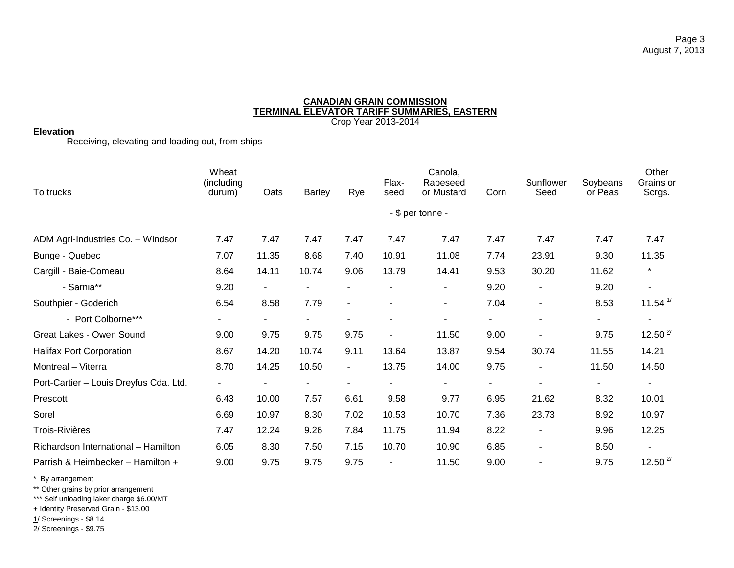# **Elevation**

Receiving, elevating and loading out, from ships

| To trucks                              | Wheat<br>(including<br>durum) | Oats           | <b>Barley</b>  | Rye                      | Flax-<br>seed            | Canola,<br>Rapeseed<br>or Mustard | Corn | Sunflower<br>Seed        | Soybeans<br>or Peas      | Other<br>Grains or<br>Scrgs. |
|----------------------------------------|-------------------------------|----------------|----------------|--------------------------|--------------------------|-----------------------------------|------|--------------------------|--------------------------|------------------------------|
|                                        |                               |                |                |                          |                          | - \$ per tonne -                  |      |                          |                          |                              |
| ADM Agri-Industries Co. - Windsor      | 7.47                          | 7.47           | 7.47           | 7.47                     | 7.47                     | 7.47                              | 7.47 | 7.47                     | 7.47                     | 7.47                         |
| Bunge - Quebec                         | 7.07                          | 11.35          | 8.68           | 7.40                     | 10.91                    | 11.08                             | 7.74 | 23.91                    | 9.30                     | 11.35                        |
| Cargill - Baie-Comeau                  | 8.64                          | 14.11          | 10.74          | 9.06                     | 13.79                    | 14.41                             | 9.53 | 30.20                    | 11.62                    | $\star$                      |
| - Sarnia**                             | 9.20                          | $\blacksquare$ | $\blacksquare$ | $\blacksquare$           |                          | $\blacksquare$                    | 9.20 | $\overline{\phantom{a}}$ | 9.20                     | $\blacksquare$               |
| Southpier - Goderich                   | 6.54                          | 8.58           | 7.79           | $\overline{\phantom{a}}$ |                          | $\blacksquare$                    | 7.04 | $\overline{\phantom{a}}$ | 8.53                     | 11.54 $\frac{1}{2}$          |
| - Port Colborne***                     |                               | $\sim$         | $\blacksquare$ | $\blacksquare$           | $\overline{\phantom{a}}$ | ۰                                 |      | $\blacksquare$           | $\sim$                   |                              |
| Great Lakes - Owen Sound               | 9.00                          | 9.75           | 9.75           | 9.75                     | $\blacksquare$           | 11.50                             | 9.00 | $\blacksquare$           | 9.75                     | 12.50 $\frac{2}{3}$          |
| <b>Halifax Port Corporation</b>        | 8.67                          | 14.20          | 10.74          | 9.11                     | 13.64                    | 13.87                             | 9.54 | 30.74                    | 11.55                    | 14.21                        |
| Montreal - Viterra                     | 8.70                          | 14.25          | 10.50          | $\blacksquare$           | 13.75                    | 14.00                             | 9.75 | $\blacksquare$           | 11.50                    | 14.50                        |
| Port-Cartier - Louis Dreyfus Cda. Ltd. |                               | $\blacksquare$ | ٠              | $\overline{\phantom{a}}$ | ٠                        | $\blacksquare$                    |      | $\blacksquare$           | $\overline{\phantom{a}}$ | ٠                            |
| Prescott                               | 6.43                          | 10.00          | 7.57           | 6.61                     | 9.58                     | 9.77                              | 6.95 | 21.62                    | 8.32                     | 10.01                        |
| Sorel                                  | 6.69                          | 10.97          | 8.30           | 7.02                     | 10.53                    | 10.70                             | 7.36 | 23.73                    | 8.92                     | 10.97                        |
| <b>Trois-Rivières</b>                  | 7.47                          | 12.24          | 9.26           | 7.84                     | 11.75                    | 11.94                             | 8.22 | $\overline{\phantom{a}}$ | 9.96                     | 12.25                        |
| Richardson International - Hamilton    | 6.05                          | 8.30           | 7.50           | 7.15                     | 10.70                    | 10.90                             | 6.85 | $\overline{\phantom{a}}$ | 8.50                     |                              |
| Parrish & Heimbecker - Hamilton +      | 9.00                          | 9.75           | 9.75           | 9.75                     | $\overline{\phantom{a}}$ | 11.50                             | 9.00 |                          | 9.75                     | 12.50 $\frac{2}{3}$          |

\* By arrangement

\*\* Other grains by prior arrangement

\*\*\* Self unloading laker charge \$6.00/MT

+ Identity Preserved Grain - \$13.00

1/ Screenings - \$8.14

2/ Screenings - \$9.75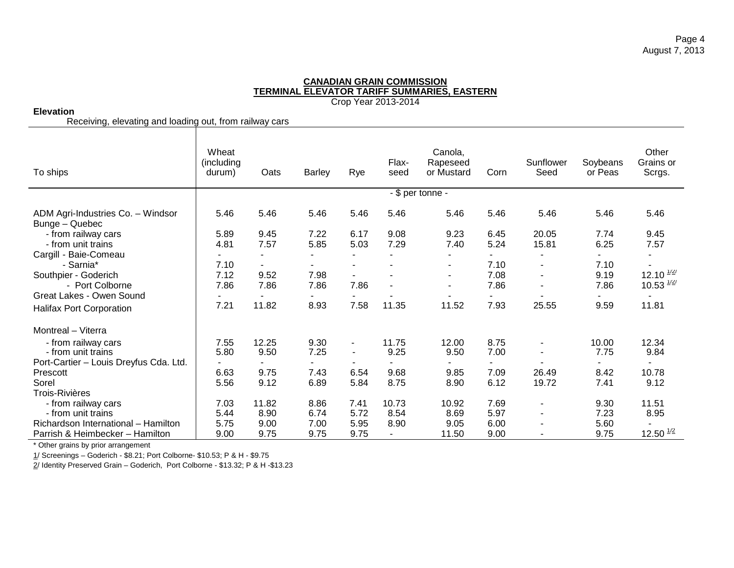# **Elevation**

Receiving, elevating and loading out, from railway cars

| To ships                                            | Wheat<br>(including<br>durum) | Oats           | <b>Barley</b> | Rye            | Flax-<br>seed | Canola,<br>Rapeseed<br>or Mustard | Corn | Sunflower<br>Seed            | Soybeans<br>or Peas | Other<br>Grains or<br>Scrgs. |
|-----------------------------------------------------|-------------------------------|----------------|---------------|----------------|---------------|-----------------------------------|------|------------------------------|---------------------|------------------------------|
|                                                     |                               |                |               |                |               | - \$ per tonne -                  |      |                              |                     |                              |
| ADM Agri-Industries Co. - Windsor<br>Bunge - Quebec | 5.46                          | 5.46           | 5.46          | 5.46           | 5.46          | 5.46                              | 5.46 | 5.46                         | 5.46                | 5.46                         |
| - from railway cars                                 | 5.89                          | 9.45           | 7.22          | 6.17           | 9.08          | 9.23                              | 6.45 | 20.05                        | 7.74                | 9.45                         |
| - from unit trains                                  | 4.81                          | 7.57           | 5.85          | 5.03           | 7.29          | 7.40                              | 5.24 | 15.81                        | 6.25                | 7.57                         |
| Cargill - Baie-Comeau                               |                               |                |               |                |               |                                   |      |                              |                     |                              |
| - Sarnia*                                           | 7.10                          | $\blacksquare$ |               |                |               | ۰                                 | 7.10 | $\overline{\phantom{a}}$     | 7.10                |                              |
| Southpier - Goderich                                | 7.12                          | 9.52           | 7.98          |                |               | ٠                                 | 7.08 | ٠                            | 9.19                | 12.10 $\frac{1}{2}$          |
| - Port Colborne                                     | 7.86                          | 7.86           | 7.86          | 7.86           |               | ۰                                 | 7.86 | ٠                            | 7.86                | 10.53 $\frac{1}{2}$          |
| Great Lakes - Owen Sound                            |                               |                |               |                |               |                                   |      |                              |                     |                              |
| Halifax Port Corporation                            | 7.21                          | 11.82          | 8.93          | 7.58           | 11.35         | 11.52                             | 7.93 | 25.55                        | 9.59                | 11.81                        |
| Montreal - Viterra                                  |                               |                |               |                |               |                                   |      |                              |                     |                              |
| - from railway cars                                 | 7.55                          | 12.25          | 9.30          | ٠              | 11.75         | 12.00                             | 8.75 |                              | 10.00               | 12.34                        |
| - from unit trains                                  | 5.80                          | 9.50           | 7.25          | $\blacksquare$ | 9.25          | 9.50                              | 7.00 | $\blacksquare$               | 7.75                | 9.84                         |
| Port-Cartier - Louis Dreyfus Cda. Ltd.              |                               | $\blacksquare$ |               |                |               | ۰                                 |      |                              |                     |                              |
| Prescott                                            | 6.63                          | 9.75           | 7.43          | 6.54           | 9.68          | 9.85                              | 7.09 | 26.49                        | 8.42                | 10.78                        |
| Sorel                                               | 5.56                          | 9.12           | 6.89          | 5.84           | 8.75          | 8.90                              | 6.12 | 19.72                        | 7.41                | 9.12                         |
| <b>Trois-Rivières</b>                               |                               |                |               |                |               |                                   |      |                              |                     |                              |
| - from railway cars                                 | 7.03                          | 11.82          | 8.86          | 7.41           | 10.73         | 10.92                             | 7.69 | $\qquad \qquad \blacksquare$ | 9.30                | 11.51                        |
| - from unit trains                                  | 5.44                          | 8.90           | 6.74          | 5.72           | 8.54          | 8.69                              | 5.97 | $\overline{\phantom{a}}$     | 7.23                | 8.95                         |
| Richardson International - Hamilton                 | 5.75                          | 9.00           | 7.00          | 5.95           | 8.90          | 9.05                              | 6.00 | ۰                            | 5.60                |                              |
| Parrish & Heimbecker - Hamilton                     | 9.00                          | 9.75           | 9.75          | 9.75           |               | 11.50                             | 9.00 |                              | 9.75                | $12.50$ $^{1/2}$             |

\* Other grains by prior arrangement

1/ Screenings – Goderich - \$8.21; Port Colborne- \$10.53; P & H - \$9.75

2/ Identity Preserved Grain – Goderich, Port Colborne - \$13.32; P & H -\$13.23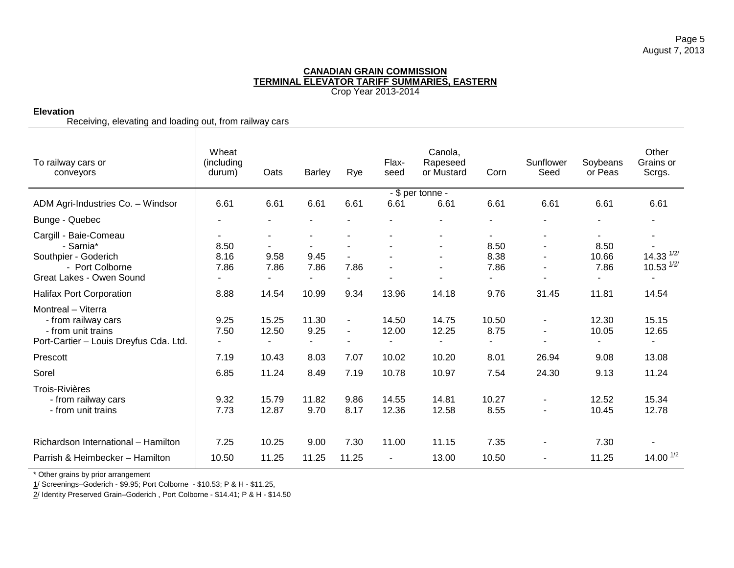# **Elevation**

Receiving, elevating and loading out, from railway cars

| To railway cars or<br>conveyors                                                                           | Wheat<br>(including<br>durum)            | Oats                             | <b>Barley</b>            | Rye                           | Flax-<br>seed                    | Canola,<br>Rapeseed<br>or Mustard | Corn                            | Sunflower<br>Seed | Soybeans<br>or Peas              | Other<br>Grains or<br>Scrgs.               |
|-----------------------------------------------------------------------------------------------------------|------------------------------------------|----------------------------------|--------------------------|-------------------------------|----------------------------------|-----------------------------------|---------------------------------|-------------------|----------------------------------|--------------------------------------------|
|                                                                                                           |                                          |                                  |                          |                               |                                  | - \$ per tonne -                  |                                 |                   |                                  |                                            |
| ADM Agri-Industries Co. - Windsor                                                                         | 6.61                                     | 6.61                             | 6.61                     | 6.61                          | 6.61                             | 6.61                              | 6.61                            | 6.61              | 6.61                             | 6.61                                       |
| Bunge - Quebec                                                                                            |                                          | $\blacksquare$                   |                          |                               |                                  |                                   |                                 |                   |                                  | $\overline{\phantom{a}}$                   |
| Cargill - Baie-Comeau                                                                                     |                                          | $\blacksquare$                   |                          |                               |                                  | $\overline{a}$                    |                                 |                   | $\blacksquare$                   |                                            |
| - Sarnia*                                                                                                 | 8.50                                     |                                  |                          |                               |                                  |                                   | 8.50                            |                   | 8.50                             |                                            |
| Southpier - Goderich                                                                                      | 8.16                                     | 9.58                             | 9.45                     | $\blacksquare$                |                                  |                                   | 8.38                            |                   | 10.66                            | 14.33 $\frac{1}{2}$                        |
| - Port Colborne                                                                                           | 7.86                                     | 7.86                             | 7.86                     | 7.86                          |                                  |                                   | 7.86                            |                   | 7.86                             | 10.53 $\frac{1}{2}$                        |
| Great Lakes - Owen Sound                                                                                  |                                          | $\overline{\phantom{a}}$         | $\overline{\phantom{0}}$ | $\blacksquare$                |                                  | $\blacksquare$                    |                                 |                   | $\blacksquare$                   | $\overline{\phantom{a}}$                   |
| Halifax Port Corporation                                                                                  | 8.88                                     | 14.54                            | 10.99                    | 9.34                          | 13.96                            | 14.18                             | 9.76                            | 31.45             | 11.81                            | 14.54                                      |
| Montreal - Viterra<br>- from railway cars<br>- from unit trains<br>Port-Cartier - Louis Dreyfus Cda. Ltd. | 9.25<br>7.50<br>$\overline{\phantom{a}}$ | 15.25<br>12.50<br>$\blacksquare$ | 11.30<br>9.25<br>$\sim$  | $\blacksquare$<br>$\sim$<br>۰ | 14.50<br>12.00<br>$\blacksquare$ | 14.75<br>12.25<br>$\blacksquare$  | 10.50<br>8.75<br>$\blacksquare$ |                   | 12.30<br>10.05<br>$\blacksquare$ | 15.15<br>12.65<br>$\overline{\phantom{a}}$ |
| Prescott                                                                                                  | 7.19                                     | 10.43                            | 8.03                     | 7.07                          | 10.02                            | 10.20                             | 8.01                            | 26.94             | 9.08                             | 13.08                                      |
| Sorel                                                                                                     | 6.85                                     | 11.24                            | 8.49                     | 7.19                          | 10.78                            | 10.97                             | 7.54                            | 24.30             | 9.13                             | 11.24                                      |
| <b>Trois-Rivières</b><br>- from railway cars<br>- from unit trains                                        | 9.32<br>7.73                             | 15.79<br>12.87                   | 11.82<br>9.70            | 9.86<br>8.17                  | 14.55<br>12.36                   | 14.81<br>12.58                    | 10.27<br>8.55                   | $\sim$            | 12.52<br>10.45                   | 15.34<br>12.78                             |
| Richardson International - Hamilton                                                                       | 7.25                                     | 10.25                            | 9.00                     | 7.30                          | 11.00                            | 11.15                             | 7.35                            |                   | 7.30                             |                                            |
| Parrish & Heimbecker - Hamilton                                                                           | 10.50                                    | 11.25                            | 11.25                    | 11.25                         | $\blacksquare$                   | 13.00                             | 10.50                           |                   | 11.25                            | 14.00 $^{1/2}$                             |

\* Other grains by prior arrangement

1/ Screenings–Goderich - \$9.95; Port Colborne - \$10.53; P & H - \$11.25,

2/ Identity Preserved Grain–Goderich , Port Colborne - \$14.41; P & H - \$14.50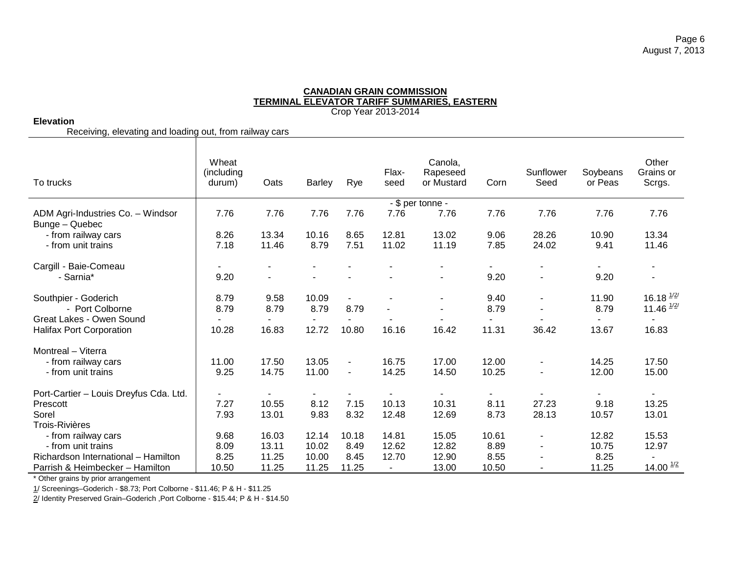Crop Year 2013-2014

# **Elevation**

Receiving, elevating and loading out, from railway cars

| To trucks                                           | Wheat<br>(including<br>durum) | Oats                     | <b>Barley</b>            | Rye            | Flax-<br>seed  | Canola,<br>Rapeseed<br>or Mustard | Corn                     | Sunflower<br>Seed                                    | Soybeans<br>or Peas | Other<br>Grains or<br>Scrgs.               |
|-----------------------------------------------------|-------------------------------|--------------------------|--------------------------|----------------|----------------|-----------------------------------|--------------------------|------------------------------------------------------|---------------------|--------------------------------------------|
|                                                     |                               |                          |                          |                |                | - \$ per tonne -                  |                          |                                                      |                     |                                            |
| ADM Agri-Industries Co. - Windsor<br>Bunge - Quebec | 7.76                          | 7.76                     | 7.76                     | 7.76           | 7.76           | 7.76                              | 7.76                     | 7.76                                                 | 7.76                | 7.76                                       |
| - from railway cars                                 | 8.26                          | 13.34                    | 10.16                    | 8.65           | 12.81          | 13.02                             | 9.06                     | 28.26                                                | 10.90               | 13.34                                      |
| - from unit trains                                  | 7.18                          | 11.46                    | 8.79                     | 7.51           | 11.02          | 11.19                             | 7.85                     | 24.02                                                | 9.41                | 11.46                                      |
| Cargill - Baie-Comeau                               |                               |                          |                          |                |                |                                   |                          |                                                      |                     |                                            |
| - Sarnia*                                           | 9.20                          |                          |                          |                |                |                                   | 9.20                     | $\overline{\phantom{a}}$                             | 9.20                |                                            |
| Southpier - Goderich<br>- Port Colborne             | 8.79<br>8.79                  | 9.58<br>8.79             | 10.09<br>8.79            | 8.79           |                |                                   | 9.40<br>8.79             | $\overline{\phantom{a}}$<br>$\overline{\phantom{a}}$ | 11.90<br>8.79       | 16.18 $\frac{1}{2}$<br>11.46 $\frac{1}{2}$ |
| Great Lakes - Owen Sound                            |                               |                          |                          |                |                |                                   |                          |                                                      | ٠                   | $\blacksquare$                             |
| <b>Halifax Port Corporation</b>                     | 10.28                         | 16.83                    | 12.72                    | 10.80          | 16.16          | 16.42                             | 11.31                    | 36.42                                                | 13.67               | 16.83                                      |
| Montreal - Viterra                                  |                               |                          |                          |                |                |                                   |                          |                                                      |                     |                                            |
| - from railway cars                                 | 11.00                         | 17.50                    | 13.05                    | $\blacksquare$ | 16.75          | 17.00                             | 12.00                    | $\blacksquare$                                       | 14.25               | 17.50                                      |
| - from unit trains                                  | 9.25                          | 14.75                    | 11.00                    | $\blacksquare$ | 14.25          | 14.50                             | 10.25                    | $\overline{\phantom{a}}$                             | 12.00               | 15.00                                      |
| Port-Cartier - Louis Dreyfus Cda. Ltd.              | $\overline{\phantom{a}}$      | $\overline{\phantom{a}}$ | $\overline{\phantom{a}}$ |                | $\blacksquare$ | $\blacksquare$                    | $\overline{\phantom{a}}$ | ٠                                                    | $\blacksquare$      | $\blacksquare$                             |
| Prescott                                            | 7.27                          | 10.55                    | 8.12                     | 7.15           | 10.13          | 10.31                             | 8.11                     | 27.23                                                | 9.18                | 13.25                                      |
| Sorel                                               | 7.93                          | 13.01                    | 9.83                     | 8.32           | 12.48          | 12.69                             | 8.73                     | 28.13                                                | 10.57               | 13.01                                      |
| <b>Trois-Rivières</b>                               |                               |                          |                          |                |                |                                   |                          |                                                      |                     |                                            |
| - from railway cars                                 | 9.68                          | 16.03                    | 12.14                    | 10.18          | 14.81          | 15.05                             | 10.61                    | $\blacksquare$                                       | 12.82               | 15.53                                      |
| - from unit trains                                  | 8.09                          | 13.11                    | 10.02                    | 8.49           | 12.62          | 12.82                             | 8.89                     | $\sim$                                               | 10.75               | 12.97                                      |
| Richardson International - Hamilton                 | 8.25                          | 11.25                    | 10.00                    | 8.45           | 12.70          | 12.90                             | 8.55                     |                                                      | 8.25                |                                            |
| Parrish & Heimbecker - Hamilton                     | 10.50                         | 11.25                    | 11.25                    | 11.25          | $\blacksquare$ | 13.00                             | 10.50                    | $\overline{\phantom{a}}$                             | 11.25               | 14.00 $\frac{1}{2}$                        |

\* Other grains by prior arrangement

1/ Screenings–Goderich - \$8.73; Port Colborne - \$11.46; P & H - \$11.25

2/ Identity Preserved Grain-Goderich , Port Colborne - \$15.44; P & H - \$14.50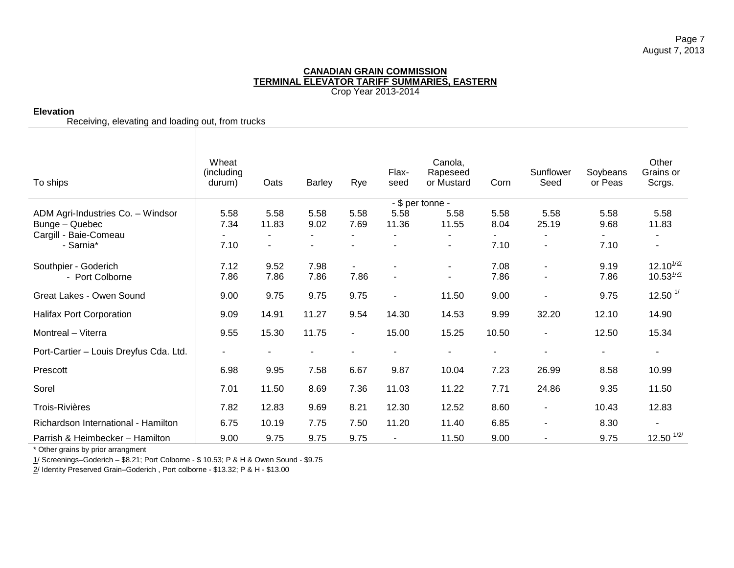# **Elevation**

Receiving, elevating and loading out, from trucks

| To ships                               | Wheat<br>(including<br>durum) | Oats  | <b>Barley</b>  | Rye            | Flax-<br>seed  | Canola,<br>Rapeseed<br>or Mustard | Corn  | Sunflower<br>Seed | Soybeans<br>or Peas | Other<br>Grains or<br>Scrgs. |
|----------------------------------------|-------------------------------|-------|----------------|----------------|----------------|-----------------------------------|-------|-------------------|---------------------|------------------------------|
| ADM Agri-Industries Co. - Windsor      | 5.58                          | 5.58  | 5.58           | 5.58           | 5.58           | - \$ per tonne -<br>5.58          | 5.58  | 5.58              | 5.58                | 5.58                         |
| Bunge - Quebec                         | 7.34                          | 11.83 | 9.02           | 7.69           | 11.36          | 11.55                             | 8.04  | 25.19             | 9.68                | 11.83                        |
| Cargill - Baie-Comeau                  |                               |       |                |                |                |                                   |       |                   |                     |                              |
| - Sarnia*                              | 7.10                          |       | $\blacksquare$ |                |                | $\overline{\phantom{a}}$          | 7.10  | $\blacksquare$    | 7.10                | $\blacksquare$               |
| Southpier - Goderich                   | 7.12                          | 9.52  | 7.98           |                | $\blacksquare$ | $\sim$                            | 7.08  | $\blacksquare$    | 9.19                | $12.10^{1/2/2}$              |
| - Port Colborne                        | 7.86                          | 7.86  | 7.86           | 7.86           | $\blacksquare$ | $\overline{\phantom{a}}$          | 7.86  |                   | 7.86                | $10.53^{1/2/2}$              |
| Great Lakes - Owen Sound               | 9.00                          | 9.75  | 9.75           | 9.75           |                | 11.50                             | 9.00  | $\blacksquare$    | 9.75                | 12.50 $\frac{1}{2}$          |
| <b>Halifax Port Corporation</b>        | 9.09                          | 14.91 | 11.27          | 9.54           | 14.30          | 14.53                             | 9.99  | 32.20             | 12.10               | 14.90                        |
| Montreal - Viterra                     | 9.55                          | 15.30 | 11.75          | $\blacksquare$ | 15.00          | 15.25                             | 10.50 | ۰                 | 12.50               | 15.34                        |
| Port-Cartier - Louis Dreyfus Cda. Ltd. |                               |       |                |                | $\blacksquare$ |                                   |       | $\blacksquare$    | $\blacksquare$      | ۰                            |
| Prescott                               | 6.98                          | 9.95  | 7.58           | 6.67           | 9.87           | 10.04                             | 7.23  | 26.99             | 8.58                | 10.99                        |
| Sorel                                  | 7.01                          | 11.50 | 8.69           | 7.36           | 11.03          | 11.22                             | 7.71  | 24.86             | 9.35                | 11.50                        |
| <b>Trois-Rivières</b>                  | 7.82                          | 12.83 | 9.69           | 8.21           | 12.30          | 12.52                             | 8.60  | $\blacksquare$    | 10.43               | 12.83                        |
| Richardson International - Hamilton    | 6.75                          | 10.19 | 7.75           | 7.50           | 11.20          | 11.40                             | 6.85  | ۰                 | 8.30                |                              |
| Parrish & Heimbecker - Hamilton        | 9.00                          | 9.75  | 9.75           | 9.75           |                | 11.50                             | 9.00  |                   | 9.75                | $12.50$ $\frac{1}{2}$        |

\* Other grains by prior arrangment

1/ Screenings–Goderich – \$8.21; Port Colborne - \$ 10.53; P & H & Owen Sound - \$9.75

2/ Identity Preserved Grain–Goderich , Port colborne - \$13.32; P & H - \$13.00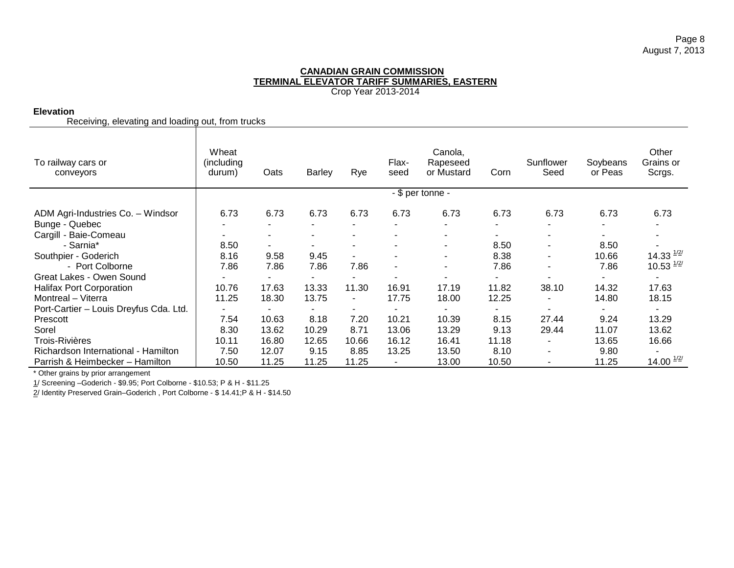# **Elevation**

Receiving, elevating and loading out, from trucks

| To railway cars or<br>conveyors        | Wheat<br>(including)<br>durum) | Oats   | Barley                   | Rye            | Flax-<br>seed            | Canola,<br>Rapeseed<br>or Mustard | Corn  | Sunflower<br>Seed        | Soybeans<br>or Peas | Other<br>Grains or<br>Scrgs. |
|----------------------------------------|--------------------------------|--------|--------------------------|----------------|--------------------------|-----------------------------------|-------|--------------------------|---------------------|------------------------------|
|                                        |                                |        |                          |                |                          | - \$ per tonne -                  |       |                          |                     |                              |
| ADM Agri-Industries Co. - Windsor      | 6.73                           | 6.73   | 6.73                     | 6.73           | 6.73                     | 6.73                              | 6.73  | 6.73                     | 6.73                | 6.73                         |
| Bunge - Quebec                         |                                | $\sim$ | ۰                        |                |                          | $\blacksquare$                    | ÷     | ٠                        | $\sim$              |                              |
| Cargill - Baie-Comeau                  |                                |        |                          |                |                          |                                   |       |                          |                     |                              |
| - Sarnia*                              | 8.50                           |        |                          |                |                          | $\blacksquare$                    | 8.50  | $\blacksquare$           | 8.50                |                              |
| Southpier - Goderich                   | 8.16                           | 9.58   | 9.45                     |                |                          | $\blacksquare$                    | 8.38  | $\overline{\phantom{0}}$ | 10.66               | 14.33 $\frac{1}{2}$          |
| - Port Colborne                        | 7.86                           | 7.86   | 7.86                     | 7.86           | $\overline{\phantom{a}}$ | $\blacksquare$                    | 7.86  | ۰                        | 7.86                | $10.53$ $^{1/2/2}$           |
| Great Lakes - Owen Sound               |                                |        |                          |                |                          |                                   |       |                          |                     |                              |
| <b>Halifax Port Corporation</b>        | 10.76                          | 17.63  | 13.33                    | 11.30          | 16.91                    | 17.19                             | 11.82 | 38.10                    | 14.32               | 17.63                        |
| Montreal - Viterra                     | 11.25                          | 18.30  | 13.75                    | ۰.             | 17.75                    | 18.00                             | 12.25 |                          | 14.80               | 18.15                        |
| Port-Cartier - Louis Dreyfus Cda. Ltd. |                                |        | $\overline{\phantom{a}}$ | $\blacksquare$ |                          |                                   | ۰     |                          |                     |                              |
| Prescott                               | 7.54                           | 10.63  | 8.18                     | 7.20           | 10.21                    | 10.39                             | 8.15  | 27.44                    | 9.24                | 13.29                        |
| Sorel                                  | 8.30                           | 13.62  | 10.29                    | 8.71           | 13.06                    | 13.29                             | 9.13  | 29.44                    | 11.07               | 13.62                        |
| Trois-Rivières                         | 10.11                          | 16.80  | 12.65                    | 10.66          | 16.12                    | 16.41                             | 11.18 | ۰                        | 13.65               | 16.66                        |
| Richardson International - Hamilton    | 7.50                           | 12.07  | 9.15                     | 8.85           | 13.25                    | 13.50                             | 8.10  |                          | 9.80                |                              |
| Parrish & Heimbecker - Hamilton        | 10.50                          | 11.25  | 11.25                    | 11.25          |                          | 13.00                             | 10.50 |                          | 11.25               | 14.00 $^{1/2/2}$             |

\* Other grains by prior arrangement

1/ Screening –Goderich - \$9.95; Port Colborne - \$10.53; P & H - \$11.25

2/ Identity Preserved Grain–Goderich , Port Colborne - \$ 14.41;P & H - \$14.50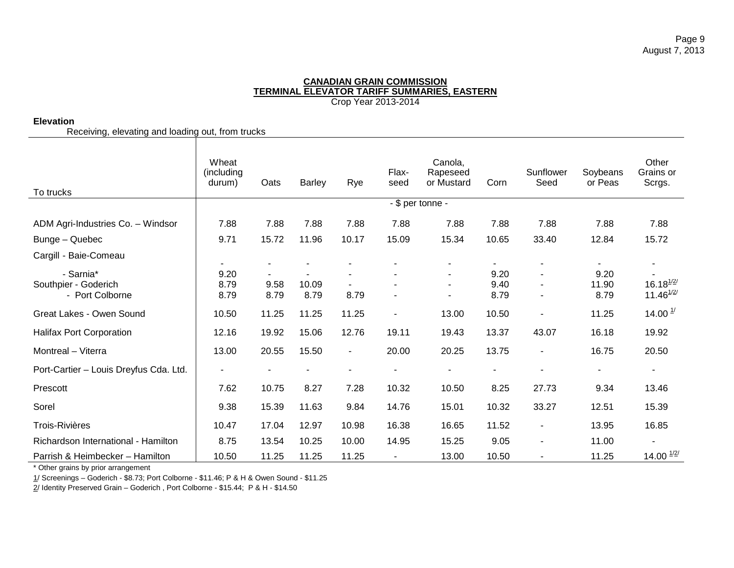# **Elevation**

Receiving, elevating and loading out, from trucks

| To trucks                              | Wheat<br>(including<br>durum) | Oats           | <b>Barley</b> | Rye            | Flax-<br>seed  | Canola,<br>Rapeseed<br>or Mustard<br>- \$ per tonne - | Corn       | Sunflower<br>Seed             | Soybeans<br>or Peas | Other<br>Grains or<br>Scrgs. |
|----------------------------------------|-------------------------------|----------------|---------------|----------------|----------------|-------------------------------------------------------|------------|-------------------------------|---------------------|------------------------------|
|                                        |                               |                |               |                |                |                                                       |            |                               |                     |                              |
| ADM Agri-Industries Co. - Windsor      | 7.88                          | 7.88           | 7.88          | 7.88           | 7.88           | 7.88                                                  | 7.88       | 7.88                          | 7.88                | 7.88                         |
| Bunge - Quebec                         | 9.71                          | 15.72          | 11.96         | 10.17          | 15.09          | 15.34                                                 | 10.65      | 33.40                         | 12.84               | 15.72                        |
| Cargill - Baie-Comeau                  |                               |                |               |                |                |                                                       |            |                               |                     |                              |
| - Sarnia*                              | ۰.<br>9.20                    | $\blacksquare$ |               |                |                |                                                       | ۰.<br>9.20 | ۰<br>$\overline{\phantom{a}}$ | ۰.<br>9.20          |                              |
| Southpier - Goderich                   | 8.79                          | 9.58           | 10.09         |                |                |                                                       | 9.40       | ٠                             | 11.90               | $16.18^{1/2/3}$              |
| - Port Colborne                        | 8.79                          | 8.79           | 8.79          | 8.79           |                |                                                       | 8.79       | ٠                             | 8.79                | $11.46^{1/2/3}$              |
| Great Lakes - Owen Sound               | 10.50                         | 11.25          | 11.25         | 11.25          | $\blacksquare$ | 13.00                                                 | 10.50      | $\overline{\phantom{a}}$      | 11.25               | 14.00 $\frac{1}{2}$          |
| Halifax Port Corporation               | 12.16                         | 19.92          | 15.06         | 12.76          | 19.11          | 19.43                                                 | 13.37      | 43.07                         | 16.18               | 19.92                        |
| Montreal - Viterra                     | 13.00                         | 20.55          | 15.50         | $\blacksquare$ | 20.00          | 20.25                                                 | 13.75      | $\blacksquare$                | 16.75               | 20.50                        |
| Port-Cartier - Louis Dreyfus Cda. Ltd. |                               | $\blacksquare$ |               | $\blacksquare$ |                |                                                       |            | $\overline{\phantom{0}}$      | ٠                   |                              |
| Prescott                               | 7.62                          | 10.75          | 8.27          | 7.28           | 10.32          | 10.50                                                 | 8.25       | 27.73                         | 9.34                | 13.46                        |
| Sorel                                  | 9.38                          | 15.39          | 11.63         | 9.84           | 14.76          | 15.01                                                 | 10.32      | 33.27                         | 12.51               | 15.39                        |
| <b>Trois-Rivières</b>                  | 10.47                         | 17.04          | 12.97         | 10.98          | 16.38          | 16.65                                                 | 11.52      | $\blacksquare$                | 13.95               | 16.85                        |
| Richardson International - Hamilton    | 8.75                          | 13.54          | 10.25         | 10.00          | 14.95          | 15.25                                                 | 9.05       | ÷,                            | 11.00               |                              |
| Parrish & Heimbecker - Hamilton        | 10.50                         | 11.25          | 11.25         | 11.25          | ٠              | 13.00                                                 | 10.50      | -                             | 11.25               | 14.00 $\frac{1}{2}$          |

\* Other grains by prior arrangement

1/ Screenings – Goderich - \$8.73; Port Colborne - \$11.46; P & H & Owen Sound - \$11.25

2/ Identity Preserved Grain - Goderich, Port Colborne - \$15.44; P & H - \$14.50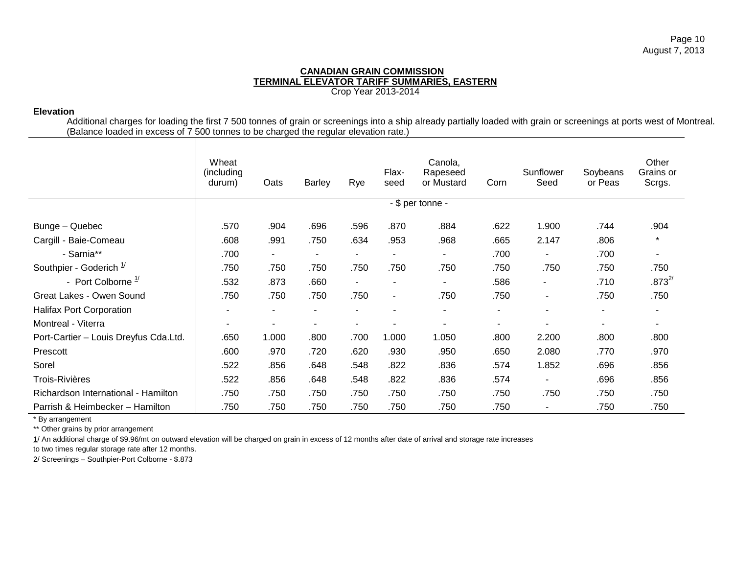# **Elevation**

Additional charges for loading the first 7 500 tonnes of grain or screenings into a ship already partially loaded with grain or screenings at ports west of Montreal. (Balance loaded in excess of 7 500 tonnes to be charged the regular elevation rate.)

|                                       | Wheat<br>(including)<br>durum) | Oats   | Barley                   | Rye            | Flax-<br>seed            | Canola,<br>Rapeseed<br>or Mustard | Corn                     | Sunflower<br>Seed        | Soybeans<br>or Peas | Other<br>Grains or<br>Scrgs. |
|---------------------------------------|--------------------------------|--------|--------------------------|----------------|--------------------------|-----------------------------------|--------------------------|--------------------------|---------------------|------------------------------|
|                                       |                                |        |                          |                |                          | - \$ per tonne -                  |                          |                          |                     |                              |
| Bunge - Quebec                        | .570                           | .904   | .696                     | .596           | .870                     | .884                              | .622                     | 1.900                    | .744                | .904                         |
| Cargill - Baie-Comeau                 | .608                           | .991   | .750                     | .634           | .953                     | .968                              | .665                     | 2.147                    | .806                | $\star$                      |
| - Sarnia**                            | .700                           | $\sim$ | $\sim$                   | $\blacksquare$ |                          | $\sim$                            | .700                     | -                        | .700                | $\blacksquare$               |
| Southpier - Goderich $1/2$            | .750                           | .750   | .750                     | .750           | .750                     | .750                              | .750                     | .750                     | .750                | .750                         |
| - Port Colborne $\frac{1}{2}$         | .532                           | .873   | .660                     | $\sim$         | $\overline{\phantom{a}}$ | $\sim$                            | .586                     | $\overline{\phantom{a}}$ | .710                | $.873^{2/}$                  |
| Great Lakes - Owen Sound              | .750                           | .750   | .750                     | .750           | $\blacksquare$           | .750                              | .750                     | ۰.                       | .750                | .750                         |
| <b>Halifax Port Corporation</b>       | $\overline{\phantom{a}}$       |        | $\overline{\phantom{a}}$ | $\sim$         | $\overline{\phantom{a}}$ | ۰                                 | $\overline{\phantom{a}}$ | ۰                        | ٠                   | $\overline{\phantom{a}}$     |
| Montreal - Viterra                    | $\overline{\phantom{a}}$       |        | $\overline{\phantom{a}}$ |                |                          |                                   | $\overline{\phantom{a}}$ |                          | ٠                   | ۰                            |
| Port-Cartier - Louis Dreyfus Cda.Ltd. | .650                           | 1.000  | .800                     | .700           | 1.000                    | 1.050                             | .800                     | 2.200                    | .800                | .800                         |
| Prescott                              | .600                           | .970   | .720                     | .620           | .930                     | .950                              | .650                     | 2.080                    | .770                | .970                         |
| Sorel                                 | .522                           | .856   | .648                     | .548           | .822                     | .836                              | .574                     | 1.852                    | .696                | .856                         |
| <b>Trois-Rivières</b>                 | .522                           | .856   | .648                     | .548           | .822                     | .836                              | .574                     | ۰.                       | .696                | .856                         |
| Richardson International - Hamilton   | .750                           | .750   | .750                     | .750           | .750                     | .750                              | .750                     | .750                     | .750                | .750                         |
| Parrish & Heimbecker - Hamilton       | .750                           | .750   | .750                     | .750           | .750                     | .750                              | .750                     |                          | .750                | .750                         |

\* By arrangement

\*\* Other grains by prior arrangement

1/ An additional charge of \$9.96/mt on outward elevation will be charged on grain in excess of 12 months after date of arrival and storage rate increases

to two times regular storage rate after 12 months.

2/ Screenings – Southpier-Port Colborne - \$.873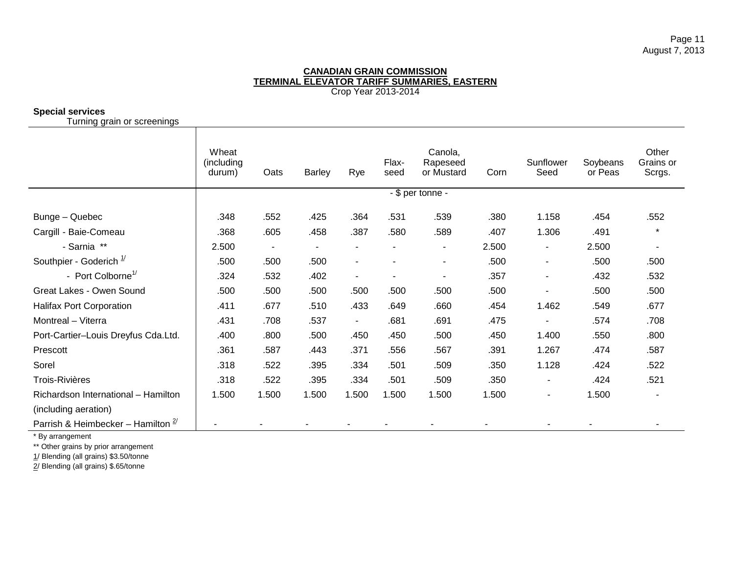# **Special services**

Turning grain or screenings

|                                       | Wheat<br>(including)<br>durum) | Oats                     | <b>Barley</b>  | Rye                      | Flax-<br>seed            | Canola,<br>Rapeseed<br>or Mustard | Corn  | Sunflower<br>Seed        | Soybeans<br>or Peas | Other<br>Grains or<br>Scrgs. |
|---------------------------------------|--------------------------------|--------------------------|----------------|--------------------------|--------------------------|-----------------------------------|-------|--------------------------|---------------------|------------------------------|
|                                       |                                |                          |                |                          |                          | - \$ per tonne -                  |       |                          |                     |                              |
| Bunge - Quebec                        | .348                           | .552                     | .425           | .364                     | .531                     | .539                              | .380  | 1.158                    | .454                | .552                         |
| Cargill - Baie-Comeau                 | .368                           | .605                     | .458           | .387                     | .580                     | .589                              | .407  | 1.306                    | .491                | $\star$                      |
| - Sarnia **                           | 2.500                          | $\overline{\phantom{a}}$ | $\blacksquare$ | $\blacksquare$           | $\overline{\phantom{a}}$ | $\blacksquare$                    | 2.500 | $\blacksquare$           | 2.500               | $\overline{\phantom{a}}$     |
| Southpier - Goderich $1/$             | .500                           | .500                     | .500           | $\overline{\phantom{a}}$ |                          | $\overline{\phantom{a}}$          | .500  | $\blacksquare$           | .500                | .500                         |
| - Port Colborne <sup>1/</sup>         | .324                           | .532                     | .402           | $\blacksquare$           | $\overline{\phantom{a}}$ | $\overline{\phantom{a}}$          | .357  | $\overline{a}$           | .432                | .532                         |
| Great Lakes - Owen Sound              | .500                           | .500                     | .500           | .500                     | .500                     | .500                              | .500  |                          | .500                | .500                         |
| <b>Halifax Port Corporation</b>       | .411                           | .677                     | .510           | .433                     | .649                     | .660                              | .454  | 1.462                    | .549                | .677                         |
| Montreal - Viterra                    | .431                           | .708                     | .537           | $\overline{\phantom{a}}$ | .681                     | .691                              | .475  |                          | .574                | .708                         |
| Port-Cartier-Louis Dreyfus Cda.Ltd.   | .400                           | .800                     | .500           | .450                     | .450                     | .500                              | .450  | 1.400                    | .550                | .800                         |
| Prescott                              | .361                           | .587                     | .443           | .371                     | .556                     | .567                              | .391  | 1.267                    | .474                | .587                         |
| Sorel                                 | .318                           | .522                     | .395           | .334                     | .501                     | .509                              | .350  | 1.128                    | .424                | .522                         |
| <b>Trois-Rivières</b>                 | .318                           | .522                     | .395           | .334                     | .501                     | .509                              | .350  | $\overline{\phantom{a}}$ | .424                | .521                         |
| Richardson International - Hamilton   | 1.500                          | 1.500                    | 1.500          | 1.500                    | 1.500                    | 1.500                             | 1.500 | $\overline{\phantom{a}}$ | 1.500               |                              |
| (including aeration)                  |                                |                          |                |                          |                          |                                   |       |                          |                     |                              |
| Parrish & Heimbecker - Hamilton $2^y$ |                                |                          |                |                          |                          |                                   |       |                          |                     |                              |

\* By arrangement

\*\* Other grains by prior arrangement

1/ Blending (all grains) \$3.50/tonne

2/ Blending (all grains) \$.65/tonne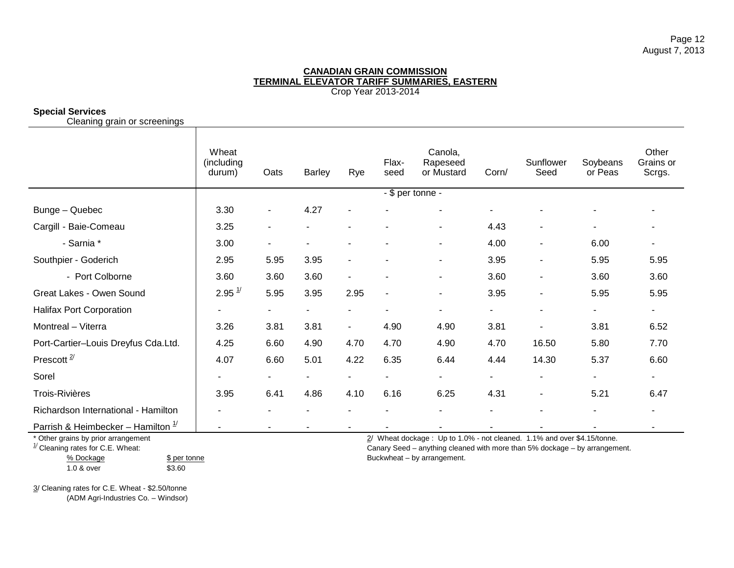# **Special Services**

Cleaning grain or screenings

|                                     | Wheat<br>(including<br>durum) | Oats                         | <b>Barley</b> | Rye                      | Flax-<br>seed            | Canola,<br>Rapeseed<br>or Mustard | Corn/ | Sunflower<br>Seed        | Soybeans<br>or Peas | Other<br>Grains or<br>Scrgs. |
|-------------------------------------|-------------------------------|------------------------------|---------------|--------------------------|--------------------------|-----------------------------------|-------|--------------------------|---------------------|------------------------------|
|                                     |                               |                              |               |                          | - \$ per tonne -         |                                   |       |                          |                     |                              |
| Bunge - Quebec                      | 3.30                          | $\qquad \qquad \blacksquare$ | 4.27          | $\blacksquare$           |                          |                                   |       |                          |                     |                              |
| Cargill - Baie-Comeau               | 3.25                          | $\blacksquare$               |               |                          |                          | ۰                                 | 4.43  | ۰                        | $\sim$              |                              |
| - Sarnia *                          | 3.00                          | $\blacksquare$               |               |                          |                          | ۰                                 | 4.00  | ۰                        | 6.00                |                              |
| Southpier - Goderich                | 2.95                          | 5.95                         | 3.95          | $\overline{\phantom{a}}$ |                          | ٠                                 | 3.95  | $\overline{\phantom{a}}$ | 5.95                | 5.95                         |
| - Port Colborne                     | 3.60                          | 3.60                         | 3.60          | $\blacksquare$           |                          | ٠                                 | 3.60  | ۰                        | 3.60                | 3.60                         |
| Great Lakes - Owen Sound            | $2.95 \frac{1}{2}$            | 5.95                         | 3.95          | 2.95                     |                          | ٠                                 | 3.95  | $\blacksquare$           | 5.95                | 5.95                         |
| <b>Halifax Port Corporation</b>     |                               | ٠                            | ۰             |                          |                          | ۰                                 | ۰     | ۰                        | ۰.                  | $\blacksquare$               |
| Montreal - Viterra                  | 3.26                          | 3.81                         | 3.81          | $\blacksquare$           | 4.90                     | 4.90                              | 3.81  | ۰                        | 3.81                | 6.52                         |
| Port-Cartier-Louis Dreyfus Cda.Ltd. | 4.25                          | 6.60                         | 4.90          | 4.70                     | 4.70                     | 4.90                              | 4.70  | 16.50                    | 5.80                | 7.70                         |
| Prescott <sup><math>2/</math></sup> | 4.07                          | 6.60                         | 5.01          | 4.22                     | 6.35                     | 6.44                              | 4.44  | 14.30                    | 5.37                | 6.60                         |
| Sorel                               | ۰                             | $\sim$                       | ۰.            | $\sim$                   | $\overline{\phantom{a}}$ | ٠                                 | ۰.    | $\overline{\phantom{a}}$ | $\sim$              | ۰                            |
| Trois-Rivières                      | 3.95                          | 6.41                         | 4.86          | 4.10                     | 6.16                     | 6.25                              | 4.31  | $\overline{\phantom{a}}$ | 5.21                | 6.47                         |
| Richardson International - Hamilton |                               |                              |               |                          |                          |                                   |       |                          |                     |                              |
| Demisk Ollsmakeslyen Hemilton 1/    |                               |                              |               |                          |                          |                                   |       |                          |                     |                              |

Parrish & Heimbecker – Hamilton 1/ - - - - - - - - - -

% Dockage \$ per tonne Buckwheat – by arrangement.

1.0 & over \$3.60

\* Other grains by prior arrangement **2/ Wheat dockage : Up to 1.0%** - not cleaned. 1.1% and over \$4.15/tonne.<br>
<sup>1/</sup> Cleaning rates for C.E. Wheat: **2/ Cleaning rates for C.E.** Wheat: Canary Seed – anything cleaned with more than 5% dockage – by arrangement.

3/ Cleaning rates for C.E. Wheat - \$2.50/tonne (ADM Agri-Industries Co. – Windsor)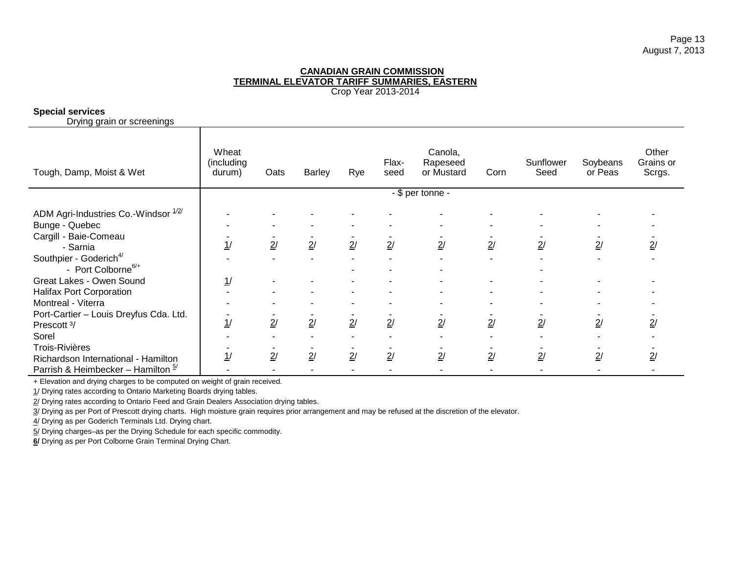# **Special services**

Drying grain or screenings

| Tough, Damp, Moist & Wet                                             | Wheat<br>(including<br>durum) | Oats | Barley | Rye | Flax-<br>seed | Canola,<br>Rapeseed<br>or Mustard | Corn           | Sunflower<br>Seed | Soybeans<br>or Peas | Other<br>Grains or<br>Scrgs. |
|----------------------------------------------------------------------|-------------------------------|------|--------|-----|---------------|-----------------------------------|----------------|-------------------|---------------------|------------------------------|
|                                                                      | - \$ per tonne -              |      |        |     |               |                                   |                |                   |                     |                              |
| ADM Agri-Industries Co.-Windsor 1/2/<br>Bunge - Quebec               |                               |      |        |     |               |                                   |                |                   |                     |                              |
| Cargill - Baie-Comeau<br>- Sarnia                                    | 1/                            | 2/   | 2/     | 2/  | 2/            | 2/                                | 2/             | 2/                | 2/                  | 2/                           |
| Southpier - Goderich <sup>4/</sup><br>- Port Colborne <sup>6/+</sup> |                               |      |        |     |               |                                   | $\blacksquare$ |                   |                     |                              |
| Great Lakes - Owen Sound                                             | 1/                            |      |        |     |               |                                   |                |                   |                     |                              |
| <b>Halifax Port Corporation</b>                                      |                               |      |        |     |               |                                   |                |                   |                     |                              |
| Montreal - Viterra                                                   |                               |      |        |     |               |                                   |                |                   |                     |                              |
| Port-Cartier - Louis Dreyfus Cda. Ltd.<br>Prescott 3/                | 1/                            | 2/   | 2/     | 2/  | 2/            | 2/                                | 2/             | 2/                | 2/                  | $\overline{2}$ /             |
| Sorel                                                                |                               |      |        |     |               |                                   |                |                   |                     |                              |
| <b>Trois-Rivières</b><br>Richardson International - Hamilton         | 1/                            | 2/   | 2/     | 2/  | 2/            | 2/                                | 2/             | 2/                | 2/                  | 2/                           |
| Parrish & Heimbecker - Hamilton $\frac{5}{1}$                        |                               |      |        |     |               |                                   |                |                   |                     |                              |

+ Elevation and drying charges to be computed on weight of grain received.

1/ Drying rates according to Ontario Marketing Boards drying tables.

2/ Drying rates according to Ontario Feed and Grain Dealers Association drying tables.

3/ Drying as per Port of Prescott drying charts. High moisture grain requires prior arrangement and may be refused at the discretion of the elevator.

4/ Drying as per Goderich Terminals Ltd. Drying chart.

5/ Drying charges–as per the Drying Schedule for each specific commodity.

**6/** Drying as per Port Colborne Grain Terminal Drying Chart.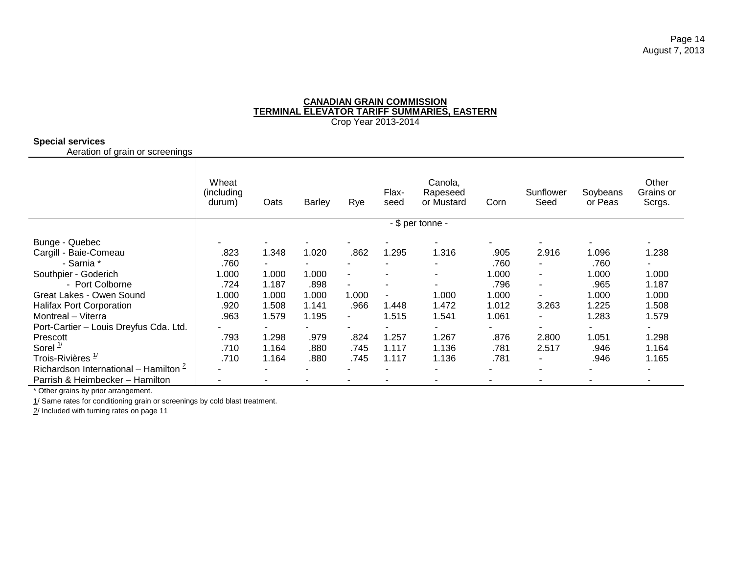# **Special services**

Aeration of grain or screenings

|                                            | Wheat<br>(including)<br>durum) | Oats   | <b>Barley</b> | Rye                      | Flax-<br>seed | Canola,<br>Rapeseed<br>or Mustard | Corn  | Sunflower<br>Seed        | Soybeans<br>or Peas | Other<br>Grains or<br>Scrgs. |
|--------------------------------------------|--------------------------------|--------|---------------|--------------------------|---------------|-----------------------------------|-------|--------------------------|---------------------|------------------------------|
|                                            |                                |        |               |                          |               | - \$ per tonne -                  |       |                          |                     |                              |
| Bunge - Quebec                             |                                |        |               |                          |               |                                   |       |                          |                     |                              |
| Cargill - Baie-Comeau                      | .823                           | 1.348  | 1.020         | .862                     | 1.295         | 1.316                             | .905  | 2.916                    | 1.096               | 1.238                        |
| - Sarnia *                                 | .760                           | $\sim$ |               | $\overline{\phantom{a}}$ |               |                                   | .760  | ۰                        | .760                | ۰.                           |
| Southpier - Goderich                       | 1.000                          | 1.000  | 1.000         |                          |               |                                   | 1.000 | $\blacksquare$           | 1.000               | 1.000                        |
| - Port Colborne                            | .724                           | 1.187  | .898          | $\tilde{\phantom{a}}$    |               |                                   | .796  | ۰                        | .965                | 1.187                        |
| Great Lakes - Owen Sound                   | 1.000                          | 1.000  | 1.000         | 1.000                    |               | 1.000                             | 1.000 | ۰                        | 1.000               | 1.000                        |
| <b>Halifax Port Corporation</b>            | .920                           | 1.508  | 1.141         | .966                     | 1.448         | 1.472                             | 1.012 | 3.263                    | 1.225               | 1.508                        |
| Montreal - Viterra                         | .963                           | 1.579  | 1.195         | $\blacksquare$           | 1.515         | 1.541                             | 1.061 | $\overline{\phantom{a}}$ | 1.283               | 1.579                        |
| Port-Cartier - Louis Dreyfus Cda. Ltd.     |                                | ۰.     |               | $\overline{\phantom{a}}$ |               |                                   |       | ٠                        | ٠                   |                              |
| Prescott                                   | .793                           | 1.298  | .979          | .824                     | 1.257         | 1.267                             | .876  | 2.800                    | 1.051               | 1.298                        |
| Sorel $\frac{1}{2}$                        | .710                           | 1.164  | .880          | .745                     | 1.117         | 1.136                             | .781  | 2.517                    | .946                | 1.164                        |
| Trois-Rivières <sup>1/</sup>               | .710                           | 1.164  | .880          | .745                     | 1.117         | 1.136                             | .781  | ۰                        | .946                | 1.165                        |
| Richardson International – Hamilton $\leq$ |                                | ۰      |               |                          |               |                                   |       | ٠                        |                     | ۰                            |
| Parrish & Heimbecker - Hamilton            |                                |        |               |                          |               |                                   |       |                          |                     |                              |

\* Other grains by prior arrangement.

1/ Same rates for conditioning grain or screenings by cold blast treatment.

2/ Included with turning rates on page 11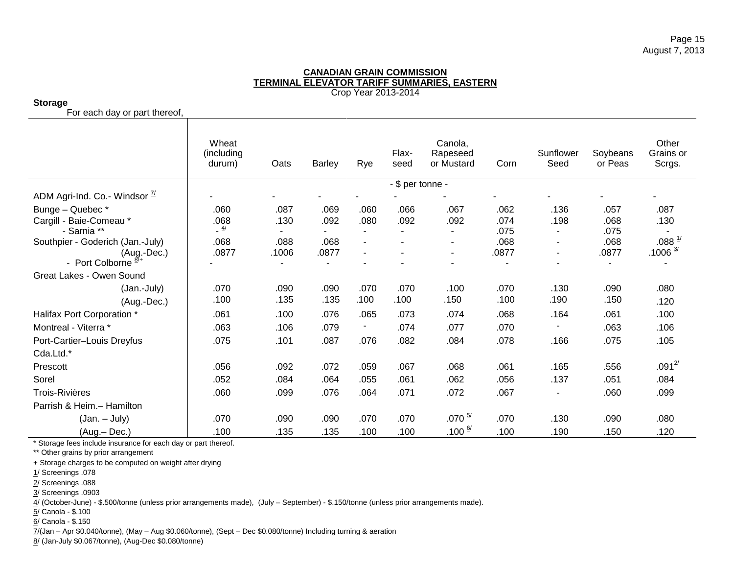# **Storage**

For each day or part thereof,

|                                                 | Wheat<br>(including<br>durum) | Oats             | <b>Barley</b> | Rye            | Flax-<br>seed | Canola,<br>Rapeseed<br>or Mustard | Corn  | Sunflower<br>Seed        | Soybeans<br>or Peas | Other<br>Grains or<br>Scrgs. |
|-------------------------------------------------|-------------------------------|------------------|---------------|----------------|---------------|-----------------------------------|-------|--------------------------|---------------------|------------------------------|
|                                                 |                               | - \$ per tonne - |               |                |               |                                   |       |                          |                     |                              |
| ADM Agri-Ind. Co.- Windsor $\frac{\pi}{4}$      |                               |                  |               |                |               |                                   |       |                          |                     |                              |
| Bunge - Quebec*                                 | .060                          | .087             | .069          | .060           | .066          | .067                              | .062  | .136                     | .057                | .087                         |
| Cargill - Baie-Comeau *                         | .068                          | .130             | .092          | .080           | .092          | .092                              | .074  | .198                     | .068                | .130                         |
| - Sarnia **                                     | $\frac{4}{ }$                 |                  |               | $\sim$         |               | $\blacksquare$                    | .075  | $\sim$                   | .075                |                              |
| Southpier - Goderich (Jan.-July)                | .068                          | .088             | .068          | $\blacksquare$ |               | ٠                                 | .068  | $\overline{\phantom{a}}$ | .068                | $.088 \frac{1}{2}$           |
| $(Aug.-Dec.)$<br>- Port Colborne $\frac{87}{1}$ | .0877                         | .1006            | .0877         | $\blacksquare$ |               | ٠                                 | .0877 |                          | .0877               | $.1006 \frac{3}{2}$          |
| Great Lakes - Owen Sound                        |                               |                  |               |                |               |                                   |       |                          |                     |                              |
|                                                 |                               |                  |               |                |               |                                   |       |                          |                     |                              |
| (Jan.-July)                                     | .070                          | .090             | .090          | .070           | .070          | .100                              | .070  | .130                     | .090                | .080                         |
| (Aug.-Dec.)                                     | .100                          | .135             | .135          | .100           | .100          | .150                              | .100  | .190                     | .150                | .120                         |
| Halifax Port Corporation *                      | .061                          | .100             | .076          | .065           | .073          | .074                              | .068  | .164                     | .061                | .100                         |
| Montreal - Viterra *                            | .063                          | .106             | .079          | ٠              | .074          | .077                              | .070  |                          | .063                | .106                         |
| Port-Cartier-Louis Dreyfus                      | .075                          | .101             | .087          | .076           | .082          | .084                              | .078  | .166                     | .075                | .105                         |
| Cda.Ltd.*                                       |                               |                  |               |                |               |                                   |       |                          |                     |                              |
| Prescott                                        | .056                          | .092             | .072          | .059           | .067          | .068                              | .061  | .165                     | .556                | $.091^{2/}$                  |
| Sorel                                           | .052                          | .084             | .064          | .055           | .061          | .062                              | .056  | .137                     | .051                | .084                         |
| Trois-Rivières                                  | .060                          | .099             | .076          | .064           | .071          | .072                              | .067  |                          | .060                | .099                         |
| Parrish & Heim. - Hamilton                      |                               |                  |               |                |               |                                   |       |                          |                     |                              |
| $(Jan. - July)$                                 | .070                          | .090             | .090          | .070           | .070          | $.070 \frac{5}{1}$                | .070  | .130                     | .090                | .080                         |
| (Aug.-Dec.)                                     | .100                          | .135             | .135          | .100           | .100          | $.100^{6/}$                       | .100  | .190                     | .150                | .120                         |

\* Storage fees include insurance for each day or part thereof.

\*\* Other grains by prior arrangement

+ Storage charges to be computed on weight after drying

- 1/ Screenings .078
- 2/ Screenings .088
- 3/ Screenings .0903

4/ (October-June) - \$.500/tonne (unless prior arrangements made), (July – September) - \$.150/tonne (unless prior arrangements made).

- 5/ Canola \$.100
- 6/ Canola \$.150

7/(Jan – Apr \$0.040/tonne), (May – Aug \$0.060/tonne), (Sept – Dec \$0.080/tonne) Including turning & aeration

8/ (Jan-July \$0.067/tonne), (Aug-Dec \$0.080/tonne)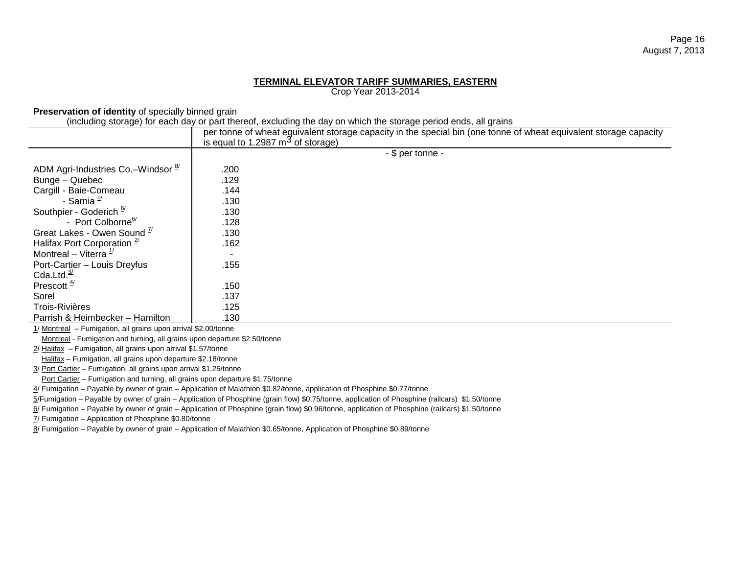# **TERMINAL ELEVATOR TARIFF SUMMARIES, EASTERN**

Crop Year 2013-2014

**Preservation of identity** of specially binned grain

(including storage) for each day or part thereof, excluding the day on which the storage period ends, all grains

|                                               | per tonne of wheat eguivalent storage capacity in the special bin (one tonne of wheat equivalent storage capacity<br>is equal to 1.2987 $\mathrm{m}^3$ of storage) |  |  |  |  |  |  |  |
|-----------------------------------------------|--------------------------------------------------------------------------------------------------------------------------------------------------------------------|--|--|--|--|--|--|--|
|                                               | - \$ per tonne -                                                                                                                                                   |  |  |  |  |  |  |  |
| ADM Agri-Industries Co.–Windsor $\frac{8}{7}$ | .200                                                                                                                                                               |  |  |  |  |  |  |  |
| Bunge - Quebec                                | .129                                                                                                                                                               |  |  |  |  |  |  |  |
| Cargill - Baie-Comeau                         | .144                                                                                                                                                               |  |  |  |  |  |  |  |
| - Sarnia <sup>5/</sup>                        | .130                                                                                                                                                               |  |  |  |  |  |  |  |
| Southpier - Goderich <sup>6/</sup>            | .130                                                                                                                                                               |  |  |  |  |  |  |  |
| - Port Colborne <sup>6/</sup>                 | .128                                                                                                                                                               |  |  |  |  |  |  |  |
| Great Lakes - Owen Sound <sup>7/</sup>        | .130                                                                                                                                                               |  |  |  |  |  |  |  |
| Halifax Port Corporation $2$ <sup>7</sup>     | .162                                                                                                                                                               |  |  |  |  |  |  |  |
| Montreal – Viterra $\frac{1}{2}$              |                                                                                                                                                                    |  |  |  |  |  |  |  |
| Port-Cartier - Louis Dreyfus                  | .155                                                                                                                                                               |  |  |  |  |  |  |  |
| Cda.Ltd. $\frac{3}{2}$                        |                                                                                                                                                                    |  |  |  |  |  |  |  |
| Prescott $\frac{4}{3}$                        | .150                                                                                                                                                               |  |  |  |  |  |  |  |
| Sorel                                         | .137                                                                                                                                                               |  |  |  |  |  |  |  |
| <b>Trois-Rivières</b>                         | .125                                                                                                                                                               |  |  |  |  |  |  |  |
| Parrish & Heimbecker - Hamilton               | .130                                                                                                                                                               |  |  |  |  |  |  |  |

1/ Montreal – Fumigation, all grains upon arrival \$2.00/tonne

Montreal - Fumigation and turning, all grains upon departure \$2.50/tonne

2/ Halifax – Fumigation, all grains upon arrival \$1.57/tonne

Halifax – Fumigation, all grains upon departure \$2.18/tonne

3/ Port Cartier – Fumigation, all grains upon arrival \$1.25/tonne

Port Cartier – Fumigation and turning, all grains upon departure \$1.75/tonne

4/ Fumigation – Payable by owner of grain – Application of Malathion \$0.82/tonne, application of Phosphine \$0.77/tonne

5/Fumigation – Payable by owner of grain – Application of Phosphine (grain flow) \$0.75/tonne, application of Phosphine (railcars) \$1.50/tonne

6/ Fumigation – Payable by owner of grain – Application of Phosphine (grain flow) \$0.96/tonne, application of Phosphine (railcars) \$1.50/tonne

7/ Fumigation – Application of Phosphine \$0.80/tonne

8/ Fumigation – Payable by owner of grain – Application of Malathion \$0.65/tonne, Application of Phosphine \$0.89/tonne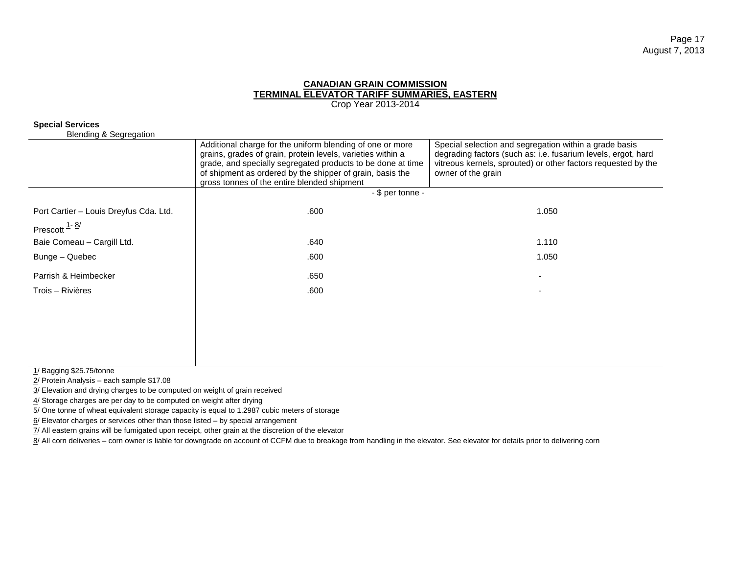Crop Year 2013-2014

## **Special Services**

Blending & Segregation

| Divilaniy u Ovyroganom                 | Additional charge for the uniform blending of one or more<br>grains, grades of grain, protein levels, varieties within a<br>grade, and specially segregated products to be done at time<br>of shipment as ordered by the shipper of grain, basis the<br>gross tonnes of the entire blended shipment | Special selection and segregation within a grade basis<br>degrading factors (such as: i.e. fusarium levels, ergot, hard<br>vitreous kernels, sprouted) or other factors requested by the<br>owner of the grain |
|----------------------------------------|-----------------------------------------------------------------------------------------------------------------------------------------------------------------------------------------------------------------------------------------------------------------------------------------------------|----------------------------------------------------------------------------------------------------------------------------------------------------------------------------------------------------------------|
|                                        | - \$ per tonne -                                                                                                                                                                                                                                                                                    |                                                                                                                                                                                                                |
| Port Cartier - Louis Dreyfus Cda. Ltd. | .600                                                                                                                                                                                                                                                                                                | 1.050                                                                                                                                                                                                          |
| Prescott $\frac{1 - 8i}{2}$            |                                                                                                                                                                                                                                                                                                     |                                                                                                                                                                                                                |
| Baie Comeau - Cargill Ltd.             | .640                                                                                                                                                                                                                                                                                                | 1.110                                                                                                                                                                                                          |
| Bunge – Quebec                         | .600                                                                                                                                                                                                                                                                                                | 1.050                                                                                                                                                                                                          |
| Parrish & Heimbecker                   | .650                                                                                                                                                                                                                                                                                                |                                                                                                                                                                                                                |
| Trois – Rivières                       | .600                                                                                                                                                                                                                                                                                                |                                                                                                                                                                                                                |
|                                        |                                                                                                                                                                                                                                                                                                     |                                                                                                                                                                                                                |
|                                        |                                                                                                                                                                                                                                                                                                     |                                                                                                                                                                                                                |
|                                        |                                                                                                                                                                                                                                                                                                     |                                                                                                                                                                                                                |
|                                        |                                                                                                                                                                                                                                                                                                     |                                                                                                                                                                                                                |

1/ Bagging \$25.75/tonne

2/ Protein Analysis – each sample \$17.08

3/ Elevation and drying charges to be computed on weight of grain received

 $4/$  Storage charges are per day to be computed on weight after drying

5/ One tonne of wheat equivalent storage capacity is equal to 1.2987 cubic meters of storage

 $6/$  Elevator charges or services other than those listed – by special arrangement

7/ All eastern grains will be fumigated upon receipt, other grain at the discretion of the elevator

8/ All corn deliveries – corn owner is liable for downgrade on account of CCFM due to breakage from handling in the elevator. See elevator for details prior to delivering corn